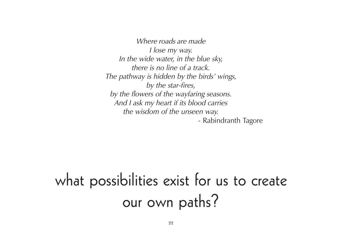Where roads are made I lose my way. In the wide water, in the blue sky, there is no line of a track. The pathway is hidden by the birds' wings, by the star-fires, by the flowers of the wayfaring seasons. And I ask my heart if its blood carries the wisdom of the unseen way. - Rabindranth Tagore

# what possibilities exist for us to create our own paths?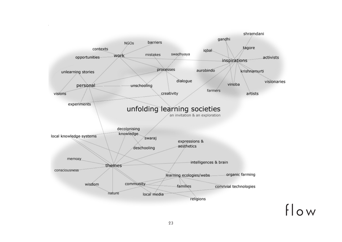

23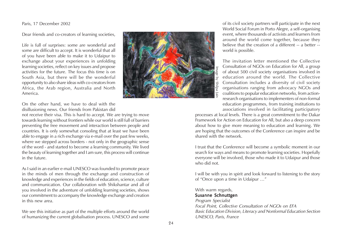Paris, 17 December 2002

Dear friends and co-creators of learning societies,

Life is full of surprises: some are wonderful and some are difficult to accept. It is wonderful that all of you have been able to make it to Udaipur to exchange about your experiences in unfolding learning societies, reflect on key issues and propose activities for the future. The focus this time is on South Asia, but there will be the wonderful opportunity to also share ideas with co-creators from Africa, the Arab region, Australia and North America.



On the other hand, we have to deal with the disillusioning news. Our friends from Pakistan did

not receive their visa. This is hard to accept. We are trying to move towards learning without frontiers while our world is still full of barriers preventing the free movement and interaction between people and countries. It is only somewhat consoling that at least we have been able to engage in a rich exchange via e-mail over the past few weeks, where we stepped across borders - not only in the geographic sense of the word - and started to become a learning community. We lived the beauty of learning together and I am sure, this process will continue in the future.

As I said in an earlier e-mail UNESCO was founded to promote peace in the minds of men through the exchange and construction of knowledge and experiences in the fields of education, science, culture and communication. Our collaboration with Shikshantar and all of you involved in the adventure of unfolding learning societies, shows our commitment to accompany the knowledge exchange and creation in this new area.

We see this initiative as part of the multiple efforts around the world of humanizing the current globalisation process. UNESCO and some of its civil society partners will participate in the next World Social Forum in Porto Alegre, a self-organising event, where thousands of activists and learners from around the world come together, because they believe that the creation of a different -- a better - world is possible.

The invitation letter mentioned the Collective Consultation of NGOs on Education for All, a group of about 500 civil society organisations involved in education around the world. The Collective Consultation includes a diversity of civil society organisations ranging from advocacy NGOs and coalitions to popular education networks, from actionresearch organisations to implementers of non-formal education programmes, from training institutions to associations involved in facilitating participatory

processes at local levels. There is a great commitment to the Dakar Framework for Action on Education for All, but also a deep concern about how to give more meaning to education and learning. We are hoping that the outcomes of the Conference can inspire and be shared with the network.

I trust that the Conference will become a symbolic moment in our search for ways and means to promote learning societies. Hopefully everyone will be involved, those who made it to Udaipur and those who did not.

I will be with you in spirit and look forward to listening to the story of "Once upon a time in Udaipur …"

With warm regards,

### Susanne Schnuttgen

Program Specialist

Focal Point, Collective Consultation of NGOs on EFA Basic Education Division, Literacy and Nonformal Education Section UNESCO, Paris, France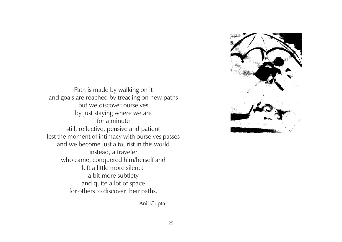

Path is made by walking on it and goals are reached by treading on new paths but we discover ourselves by just staying where we are for a minute still, reflective, pensive and patient lest the moment of intimacy with ourselves passes and we become just a tourist in this world instead, a traveler who came, conquered him/herself and left a little more silence a bit more subtlety and quite a lot of space for others to discover their paths.

- Anil Gupta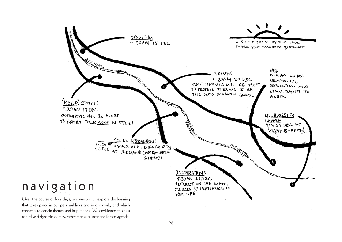

that takes place in our personal lives and in our work, and which connects to certain themes and inspirations. We envisioned this as a natural and dynamic journey, rather than as a linear and forced agenda.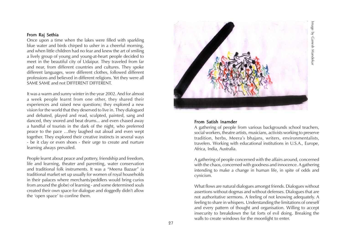### From Raj Sethia

Once upon a time when the lakes were filled with sparkling blue water and birds chirped to usher in a cheerful morning, and when little children had no fear and knew the art of smiling a lively group of young and young-at-heart people decided to meet in the beautiful city of Udaipur. They traveled from far and near, from different countries and cultures. They spoke different languages, wore different clothes, followed different professions and believed in different religions. Yet they were all SAME SAME and not DIFFERENT DIFFERENT.

It was a warm and sunny winter in the year 2002. And for almost a week people learnt from one other, they shared their experiences and raised new questions; they explored a new vision for the world that they deserved to live in. They dialogued and debated, played and read, sculpted, painted, sang and danced, they snored and beat drums... and even chased away a handful of tourists in the dark of the night, who preferred peace to the pace …they laughed out aloud and even wept together. They explored their creative instincts in several ways - be it clay or even shoes - their urge to create and nurture learning always prevailed.

People learnt about peace and pottery, friendship and freedom, life and learning, theater and parenting, water conservation and traditional folk instruments. It was a "Meena Bazaar" (a traditional market set up usually for women of royal households in their palaces where merchants/peddlers would bring curios from around the globe) of learning - and some determined souls created their own space for dialogue and doggedly didn't allow the 'open space' to confine them.



#### From Satish Inamder

A gathering of people from various backgrounds school teachers, social workers, theatre artists, musicians, activists working to preserve tradition, herbs, Meera's bhajans, writers, environmentalists, travelers. Working with educational institutions in U.S.A., Europe, Africa, India, Australia.

A gathering of people concerned with the affairs around, concerned with the chaos, concerned with goodness and innocence. A gathering intending to make a change in human life, in spite of odds and cynicism.

What flows are natural dialogues amongst friends. Dialogues without assertions without dogmas and without defenses. Dialogues that are not authoritative sermons. A feeling of not knowing adequately. A feeling to share in whispers. Understanding the limitations of oneself and every pattern of thought and organisation. Willing to accept insecurity to breakdown the fat forts of evil doing. Breaking the walls to create windows for the moonlight to enter.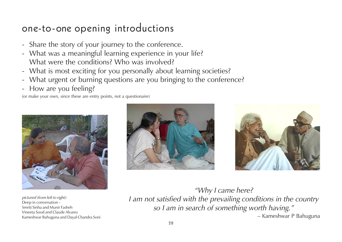# one-to-one opening introductions

- Share the story of your journey to the conference.
- What was a meaningful learning experience in your life? What were the conditions? Who was involved?
- What is most exciting for you personally about learning societies?
- What urgent or burning questions are you bringing to the conference?
- How are you feeling?

(or make your own, since these are entry points, not a questionaire)



pictured (from left to right): Deep in conversation - Smriti Sinha and Munir Fasheh Vineeta Sood and Claude Alvares Kameshwar Bahuguna and Dayal Chandra Soni





"Why I came here? I am not satisfied with the prevailing conditions in the country so I am in search of something worth having." – Kameshwar P Bahuguna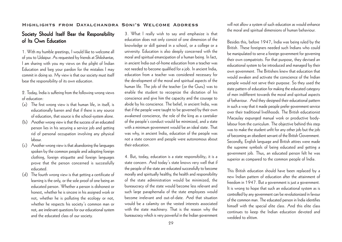### **Highlights from Dayalchandra Soni's Welcome Address**

### Society Should Itself Bear the Responsibility of Its Own Education

1. With my humble greetings, I would like to welcome all of you to Udaipur. As requested by friends at Shikshantar, I am sharing with you my views on the plight of Indian Education and beg your pardon for the mistakes I may commit in doing so. My view is that our society must itself bear the responsibility of its own education.

2. Today, India is suffering from the following wrong views of education:

- (a) The first wrong view is that human life, in itself, is educationally barren and that if there is any source of education, that source is the school-system alone.
- (b) Another wrong view is that the success of an educated person lies in his securing a service job and getting rid of personal occupation involving any physical labour.
- (c) Another wrong view is that abandoning the languages spoken by the common people and adopting foreign clothing, foreign etiquette and foreign languages prove that the person concerned is successfully educated.
- (d) The fourth wrong view is that getting a certificate of learning is the only, or the sole proof of one being an educated person. Whether a person is dishonest or honest, whether he is sincere in his assigned work or not, whether he is polluting the ecology or not, whether he respects his society's common man or not, are irrelevant questions for our educational system and the educated class of our society.

3. What I really wish to say and emphasize is that education does not only consist of one dimension of the knowledge or skill gained in a school, or a college or a university. Education is also deeply concerned with the moral and spiritual emancipation of a human being. In fact, in ancient India out-of-home education from a teacher was not needed to become qualified for a job. In ancient India, education from a teacher was considered necessary for the development of the moral and spiritual aspects of the human life. The job of the teacher (or the Guru) was to enable the student to recognize the dictation of his conscience and give him the capacity and the courage to abide by his conscience. The belief, in ancient India, was that if the people were taught to be governed by their own awakened conscience, the role of the king as a caretaker of the people's conduct would be minimized, and a state with a minimum government would be an ideal state. That was why, in ancient India, education of the people was not a state concern and people were autonomous about their education.

4. But, today, education is a state responsibility; it is a state concern. And today's state knows very well that if the people of the state are educated successfully to become morally and spiritually healthy, the health and responsibility of the state administration would be minimized, the bureaucracy of the state would become less relevant and such large paraphernalia of the state employees would become irrelevant and out-of-date. And that situation would be a calamity on the vested interests associated with the state machinery. That is the reason why the bureaucracy which is very powerful in the Indian government

will not allow a system of such education as would enhance the moral and spiritual dimensions of human behaviour.

Besides this, before 1947, India was being ruled by the British. These foreigners needed such Indians who could be manipulated to serve a foreign government for governing their own compatriots. For that purpose, they devised an educational system to be introduced and managed by their own government. The Britishers knew that education that would awaken and activate the conscience of the Indian people would not serve their purpose. So they used the state pattern of education for making the educated category of men indifferent towards the moral and spiritual aspects of behaviour. And they designed their educational pattern in such a way that it made people prefer government service over their traditional livelihoods. The British educationist Macaulay expunged manual work or productive bodylabour from the curriculum. The objective behind this step was to make the student unfit for any other job but the job of becoming an obedient servant of the British Government. Secondly, English language and British attires were made the supreme symbols of being educated and getting a government job. Thus, an educated person felt he was superior as compared to the common people of India.

This British education should have been replaced by a new Indian pattern of education after the attainment of freedom in 1947. But a government is just a government. It is wrong to hope that such an educational system as is controlled by any government can be revolutionized in favour of the common man. The educated person in India identifies himself with the special elite class. And this elite class continues to keep the Indian education devoted and wedded to elitism.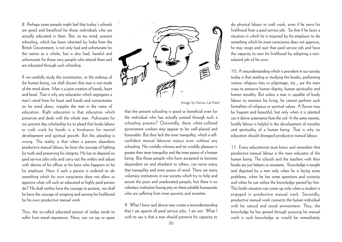8. Perhaps some people might feel that today's schools are good and beneficial for those individuals who are actually educated in them. But, to my mind, present schooling, which has been inherited by India from the British Government, is not only bad and unfortunate for the nation as a whole, but is also bad, harmful and unfortunate for those very people who attend them and are educated through such schooling.

If we carefully study the constitution, or the makeup of the human being, we shall discern that man is not made of the mind alone. Man is a joint creation of hands, heart and head. That is why any education which segregates a man's mind from his heart and hands and concentrates on his mind alone, cripples the man in the name of education. Right education is that education which preserves and deals with the whole man. Advocates for our present day scholarship try to plead that body-labour or craft work by hands is a hindrance for mental development and spiritual growth. But this pleading is wrong. The reality is that when a person abandons productive manual labour, he loses the courage of fighting for truth and preserving his integrity. He has to depend on paid service jobs only and carry out the orders and adjust with desires of his officer or his boss who happens to be his employer. Now if such a person is ordered to do something which his own conscience does not allow or approve what will such an educated or highly paid person do? He shall neither have the courage to protest, nor shall he have the courage of resigning and earning his livelihood by his own productive manual work.

Thus, the so-called educated person of today tends to suffer from moral impotence. Now, can we say or agree



Image by Panna Lal Patel

that the present schooling is good or beneficial even for the individual who has actually passed through such a schooling process? Outwardly, these white-collared government workers may appear to be well-placed and honorable. But they lack the inner tranquility, which a selfconfident manual labourer enjoys even without any schooling. No worldly richness and no worldly pleasure is greater than inner tranquility and the inner peace of a human being. But those people who have accepted to become dependent on and obedient to others, can never enjoy that tranquility and inner peace of mind. There are many voluntary institutions in our society which try to help and secure the poor and uneducated people, but there is no voluntary institution having pity on these pitiable bureaucrats who are suffering from inner poverty and anxieties.

9. What I have said above may create a misunderstanding that I am against all paid service jobs. I am not. What I wish to say is that a man should preserve his capacity to

do physical labour or craft work, even if he earns his livelihood from a paid service job. So that if he faces a situation in which he is required by his employer to do something which his inner conscience does not approve, he may resign and quit that paid service job and have the capacity to earn his livelihood by adopting a nonsalaried job of his own.

10. A misunderstanding which is prevalent in our society today is that reading or studying the books, performing various religious rites or pilgrimage, etc., are the main ways to preserve human dignity, human spirituality and human morality. But unless a man is capable of body labour to maintain his living, he cannot perform such formalities of religious or spiritual values. A flower may be fragrant and beautiful, but only when it is planted can it derive sustenance from the soil. In the same manner, bodily labour is helpful in the development of morality and spirituality of a human being. That is why no education should disregard productive manual labour.

11. Every educationist must know and remember that productive manual labour is the main educator of the human being. The schools and the teachers with their books are just helpers or assistants. Knowledge is sought and digested by a man only when he is facing some problems, when he has some questions and curiosity and when he can utilize the knowledge gained by him. This fertile situation can come up only when a student is engaged in productive manual work. Secondly, productive manual work connects the human individual with his natural and social environment. Thus, the knowledge he has gained through pursuing his manual work is such knowledge as would be immediately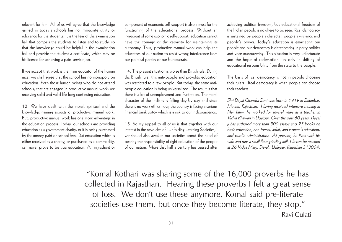relevant for him. All of us will agree that the knowledge gained in today's schools has no immediate utility or relevance for the students. It is the fear of the examination hall that compels the students to listen and to study, so that the knowledge could be helpful in the examination hall and provide the student a certificate, which may be his license for achieving a paid service job.

If we accept that work is the main educator of the human race, we shall agree that the school has no monopoly on education. Even those human beings who do not attend schools, that are engaged in productive manual work, are receiving solid and valid life-long continuing education.

12. We have dealt with the moral, spiritual and the knowledge gaining aspects of productive manual work. But, productive manual work has one more advantage in the education process. Today, our schools are providing education as a government charity, or it is being purchased by the money paid on school fees. But education which is either received as a charity, or purchased as a commodity, can never prove to be true education. An ingredient or component of economic self-support is also a must for the functioning of the educational process. Without an ingredient of some economic self-support, education cannot have the courage or the capacity for maintaining its autonomy. Thus, productive manual work can help the educators of our nation to resist wrong interference from our political parties or our bureaucrats.

14. The present situation is worse than British rule. During the British rule, this anti-people and pro-elite education was restricted to a few people. But today, the same antipeople education is being universalized. The result is that there is a lot of unemployment and frustration. The moral character of the Indians is falling day by day and since there is no work ethics now, the country is facing a serious financial bankruptcy which is a risk to our independence.

15. So my appeal to all of us is that together with our interest in the new idea of "Unfolding Learning Societies," we should also awaken our societies about the need of bearing the responsibility of right education of the people of our nation. More that half a century has passed after achieving political freedom, but educational freedom of the Indian people is nowhere to be seen. Real democracy is sustained by people's character, people's vigilance and people's power. Today's education is emaciating our people and our democracy is deteriorating in party politics and vote-manouvering. This situation is very unfortunate and the hope of redemption lies only in shifting of educational responsibility from the state to the people.

The basis of real democracy is not in people choosing their rulers. Real democracy is when people can choose their teachers.

Shri Dayal Chandra Soni was born in 1919 in Salumbar, Mewar, Rajasthan. Having received intensive training in Nai Talim, he worked for several years as a teacher in Vidya Bhawan in Udaipur. Over the past 60 years, Dayal ji has authored more than 300 essays and 25 books on basic education; non-formal, adult, and women's education; and public administration. At present, he lives with his wife and runs a small flour grinding mill. He can be reached at 26 Vidya Marg, Devali, Udaipur, Rajasthan 313004.

"Komal Kothari was sharing some of the 16,000 proverbs he has collected in Rajasthan. Hearing these proverbs I felt a great sense of loss. We don't use these anymore. Komal said pre-literate societies use them, but once they become literate, they stop." – Ravi Gulati